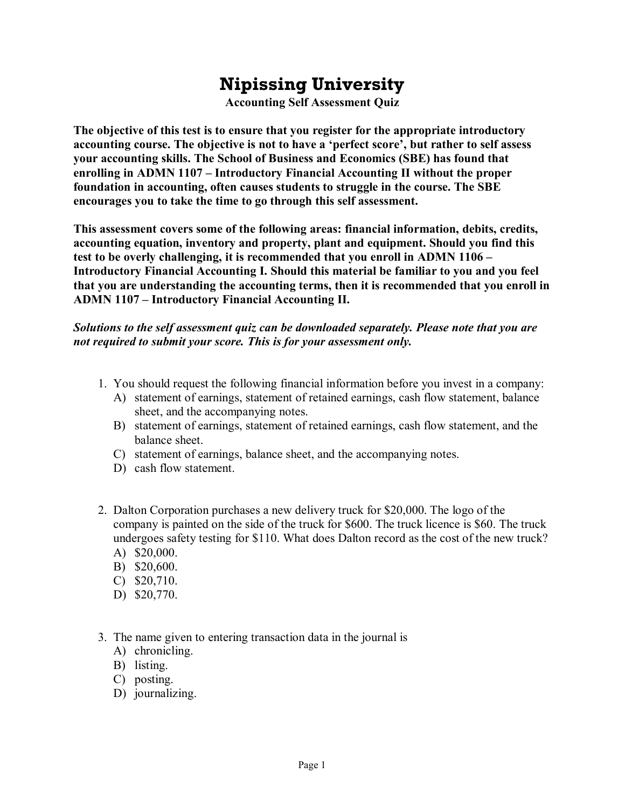## **Nipissing University**

**Accounting Self Assessment Quiz** 

**The objective of this test is to ensure that you register for the appropriate introductory accounting course. The objective is not to have a 'perfect score', but rather to self assess your accounting skills. The School of Business and Economics (SBE) has found that enrolling in ADMN 1107 – Introductory Financial Accounting II without the proper foundation in accounting, often causes students to struggle in the course. The SBE encourages you to take the time to go through this self assessment.** 

**This assessment covers some of the following areas: financial information, debits, credits, accounting equation, inventory and property, plant and equipment. Should you find this test to be overly challenging, it is recommended that you enroll in ADMN 1106 – Introductory Financial Accounting I. Should this material be familiar to you and you feel that you are understanding the accounting terms, then it is recommended that you enroll in ADMN 1107 – Introductory Financial Accounting II.**

## *Solutions to the self assessment quiz can be downloaded separately. Please note that you are not required to submit your score. This is for your assessment only.*

- 1. You should request the following financial information before you invest in a company:
	- A) statement of earnings, statement of retained earnings, cash flow statement, balance sheet, and the accompanying notes.
	- B) statement of earnings, statement of retained earnings, cash flow statement, and the balance sheet.
	- C) statement of earnings, balance sheet, and the accompanying notes.
	- D) cash flow statement.
- 2. Dalton Corporation purchases a new delivery truck for \$20,000. The logo of the company is painted on the side of the truck for \$600. The truck licence is \$60. The truck undergoes safety testing for \$110. What does Dalton record as the cost of the new truck? A) \$20,000.
	- B) \$20,600.
	- C) \$20,710.
	- D) \$20,770.
	-
- 3. The name given to entering transaction data in the journal is
	- A) chronicling.
	- B) listing.
	- C) posting.
	- D) journalizing.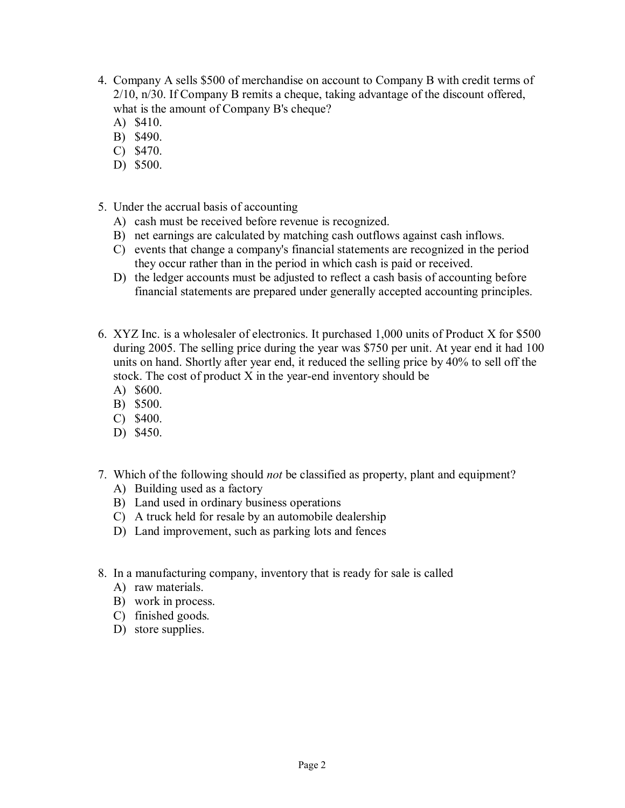- 4. Company A sells \$500 of merchandise on account to Company B with credit terms of 2/10, n/30. If Company B remits a cheque, taking advantage of the discount offered, what is the amount of Company B's cheque?
	- A) \$410.
	- B) \$490.
	- C) \$470.
	- D) \$500.
- 5. Under the accrual basis of accounting
	- A) cash must be received before revenue is recognized.
	- B) net earnings are calculated by matching cash outflows against cash inflows.
	- C) events that change a company's financial statements are recognized in the period they occur rather than in the period in which cash is paid or received.
	- D) the ledger accounts must be adjusted to reflect a cash basis of accounting before financial statements are prepared under generally accepted accounting principles.
- 6. XYZ Inc. is a wholesaler of electronics. It purchased 1,000 units of Product X for \$500 during 2005. The selling price during the year was \$750 per unit. At year end it had 100 units on hand. Shortly after year end, it reduced the selling price by 40% to sell off the stock. The cost of product  $X$  in the year-end inventory should be
	- A) \$600.
	- B) \$500.
	- C) \$400.
	- D) \$450.
- 7. Which of the following should *not* be classified as property, plant and equipment?
	- A) Building used as a factory
	- B) Land used in ordinary business operations
	- C) A truck held for resale by an automobile dealership
	- D) Land improvement, such as parking lots and fences
- 8. In a manufacturing company, inventory that is ready for sale is called
	- A) raw materials.
	- B) work in process.
	- C) finished goods.
	- D) store supplies.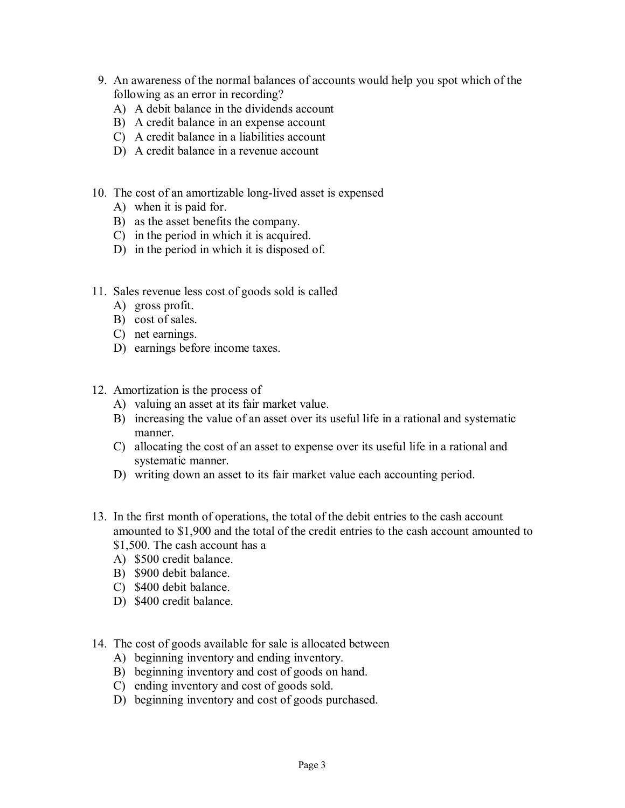- 9. An awareness of the normal balances of accounts would help you spot which of the following as an error in recording?
	- A) A debit balance in the dividends account
	- B) A credit balance in an expense account
	- C) A credit balance in a liabilities account
	- D) A credit balance in a revenue account
- 10. The cost of an amortizable long-lived asset is expensed
	- A) when it is paid for.
	- B) as the asset benefits the company.
	- C) in the period in which it is acquired.
	- D) in the period in which it is disposed of.
- 11. Sales revenue less cost of goods sold is called
	- A) gross profit.
	- B) cost of sales.
	- C) net earnings.
	- D) earnings before income taxes.
- 12. Amortization is the process of
	- A) valuing an asset at its fair market value.
	- B) increasing the value of an asset over its useful life in a rational and systematic manner.
	- C) allocating the cost of an asset to expense over its useful life in a rational and systematic manner.
	- D) writing down an asset to its fair market value each accounting period.
- 13. In the first month of operations, the total of the debit entries to the cash account amounted to \$1,900 and the total of the credit entries to the cash account amounted to \$1,500. The cash account has a
	- A) \$500 credit balance.
	- B) \$900 debit balance.
	- C) \$400 debit balance.
	- D) \$400 credit balance.
- 14. The cost of goods available for sale is allocated between
	- A) beginning inventory and ending inventory.
	- B) beginning inventory and cost of goods on hand.
	- C) ending inventory and cost of goods sold.
	- D) beginning inventory and cost of goods purchased.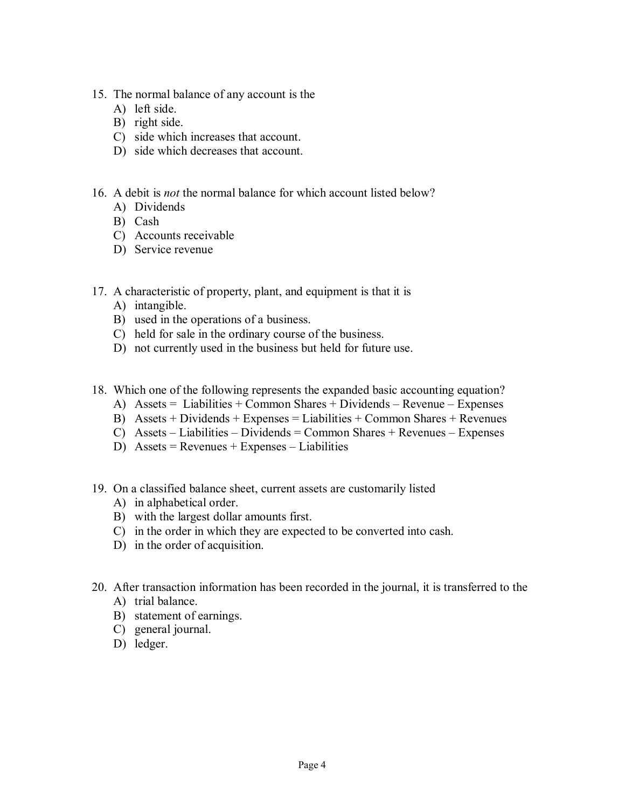- 15. The normal balance of any account is the
	- A) left side.
	- B) right side.
	- C) side which increases that account.
	- D) side which decreases that account.
- 16. A debit is *not* the normal balance for which account listed below?
	- A) Dividends
	- B) Cash
	- C) Accounts receivable
	- D) Service revenue
- 17. A characteristic of property, plant, and equipment is that it is
	- A) intangible.
	- B) used in the operations of a business.
	- C) held for sale in the ordinary course of the business.
	- D) not currently used in the business but held for future use.
- 18. Which one of the following represents the expanded basic accounting equation?
	- A) Assets = Liabilities + Common Shares + Dividends Revenue Expenses
	- B) Assets + Dividends + Expenses = Liabilities + Common Shares + Revenues
	- C) Assets Liabilities Dividends = Common Shares + Revenues Expenses
	- D) Assets = Revenues + Expenses Liabilities
- 19. On a classified balance sheet, current assets are customarily listed
	- A) in alphabetical order.
	- B) with the largest dollar amounts first.
	- C) in the order in which they are expected to be converted into cash.
	- D) in the order of acquisition.
- 20. After transaction information has been recorded in the journal, it is transferred to the A) trial balance.
	- B) statement of earnings.
	- C) general journal.
	- D) ledger.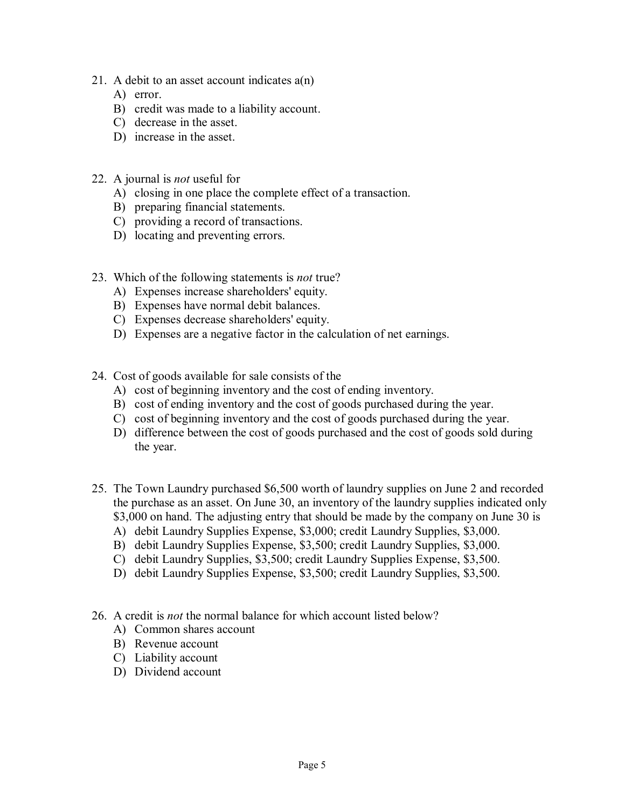- 21. A debit to an asset account indicates a(n)
	- A) error.
	- B) credit was made to a liability account.
	- C) decrease in the asset.
	- D) increase in the asset.
- 22. A journal is *not* useful for
	- A) closing in one place the complete effect of a transaction.
	- B) preparing financial statements.
	- C) providing a record of transactions.
	- D) locating and preventing errors.
- 23. Which of the following statements is *not* true?
	- A) Expenses increase shareholders' equity.
	- B) Expenses have normal debit balances.
	- C) Expenses decrease shareholders' equity.
	- D) Expenses are a negative factor in the calculation of net earnings.
- 24. Cost of goods available for sale consists of the
	- A) cost of beginning inventory and the cost of ending inventory.
	- B) cost of ending inventory and the cost of goods purchased during the year.
	- C) cost of beginning inventory and the cost of goods purchased during the year.
	- D) difference between the cost of goods purchased and the cost of goods sold during the year.
- 25. The Town Laundry purchased \$6,500 worth of laundry supplies on June 2 and recorded the purchase as an asset. On June 30, an inventory of the laundry supplies indicated only \$3,000 on hand. The adjusting entry that should be made by the company on June 30 is
	- A) debit Laundry Supplies Expense, \$3,000; credit Laundry Supplies, \$3,000.
	- B) debit Laundry Supplies Expense, \$3,500; credit Laundry Supplies, \$3,000.
	- C) debit Laundry Supplies, \$3,500; credit Laundry Supplies Expense, \$3,500.
	- D) debit Laundry Supplies Expense, \$3,500; credit Laundry Supplies, \$3,500.
- 26. A credit is *not* the normal balance for which account listed below?
	- A) Common shares account
	- B) Revenue account
	- C) Liability account
	- D) Dividend account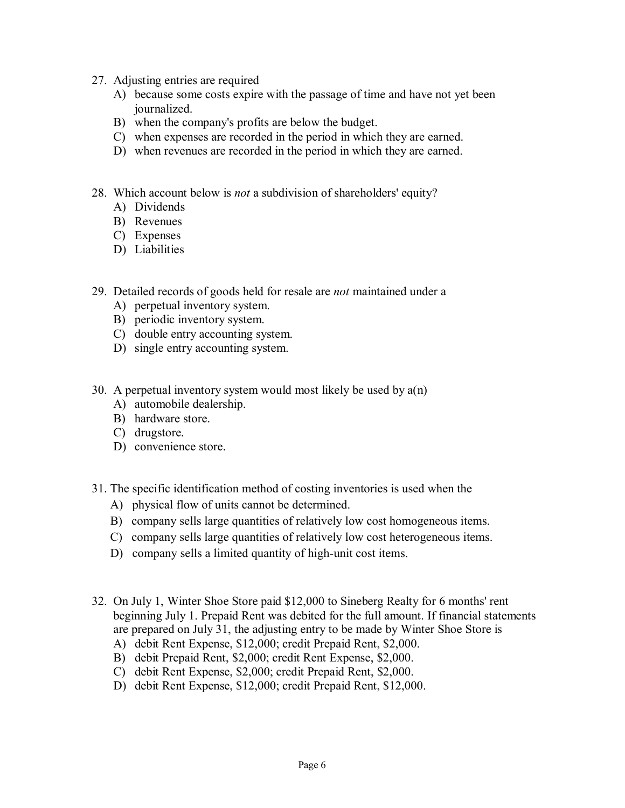- 27. Adjusting entries are required
- Adjusting entries are required<br>A) because some costs expire with the passage of time and have not yet been<br>journalized journalized. A) because some costs expire with the passage of time a<br>journalized.<br>B) when the company's profits are below the budget.<br>C) when expenses are recorded in the period in which the Solution is profited.<br>
Solution that the company's profits are below the budget.<br>
Solution expenses are recorded in the period in which they are earned.<br>
Colution revenues are recorded in the period in which they are earne
	-
	- B) when the company's profits are below the budget.<br>C) when expenses are recorded in the period in which they are earned.<br>D) when revenues are recorded in the period in which they are earned.
	-
- 28. Which account below is *not* a subdivision of shareholders' equity?<br>A) Dividends Which account bot<br>A) Dividends<br>B) Revenues Which account b<br>
A) Dividends<br>
B) Revenues<br>
C) Expenses
	-
	- A) Dividends<br>B) Revenues<br>C) Expenses
	-
	- D) Liabilities
- 29. Detailed records of goods held for resale are *not* maintained under a Detailed records of goods held for<br>A) perpetual inventory system.<br>B) periodic inventory system
	- Detailed records of goods held fo.<br>
	A) perpetual inventory system.<br>
	B) periodic inventory system.<br>
	C) double entry accounting system. A) perpetual inventory system.<br>
	B) periodic inventory system.<br>
	C) double entry accounting system.
	-
	-
	- D) single entry accounting system.
- 30. A perpetual inventory system would most likely be used by  $a(n)$ <br>A) automobile dealership A perpetual inventory system<br>A) automobile dealership.<br>B) hardware store
	- A perpetual inventory<br>A) automobile dealer<br>B) hardware store.<br>C) drugstore.
	- A) automobile c<br>B) hardware sto<br>C) drugstore.<br>D) convenience B) hardware store.<br>
	C) drugstore.<br>
	D) convenience store.
	-
	-
- 31. The specific identification method of costing inventories is used when the
	- A) physical flow of units cannot be determined.
	- B) company sells large quantities of relatively low cost homogeneous items.
	- C) company sells large quantities of relatively low cost heterogeneous items.
	- D) company sells a limited quantity of high-unit cost items.
- 32. On July 1, Winter Shoe Store paid \$12,000 to Sineberg Realty for 6 months' rent beginning July 1. Prepaid Rent was debited for the full amount. If financial statements<br>are prepared on July 31, the adjusting entry to be made by Winter Shoe Store is<br>A) debit Rent Expense, \$12,000; credit Rent Expense, \$ are prepared on July 31, the adjusting entry to be made by Winter Shoe Store is<br>
A) debit Rent Expense, \$12,000; credit Prepaid Rent, \$2,000.<br>
B) debit Perpaid Rent, \$2,000; credit Rent Expense, \$2,000.<br>
C) debit Rent Expe
	-
	- A) debit Rent Expense, \$12,000; credit Prepaid Rent, \$2,000.<br>B) debit Prepaid Rent, \$2,000; credit Rent Expense, \$2,000.<br>C) debit Rent Expense, \$2,000; credit Prepaid Rent, \$2,000.
	-
	- D) debit Rent Expense, \$12,000; credit Prepaid Rent, \$12,000.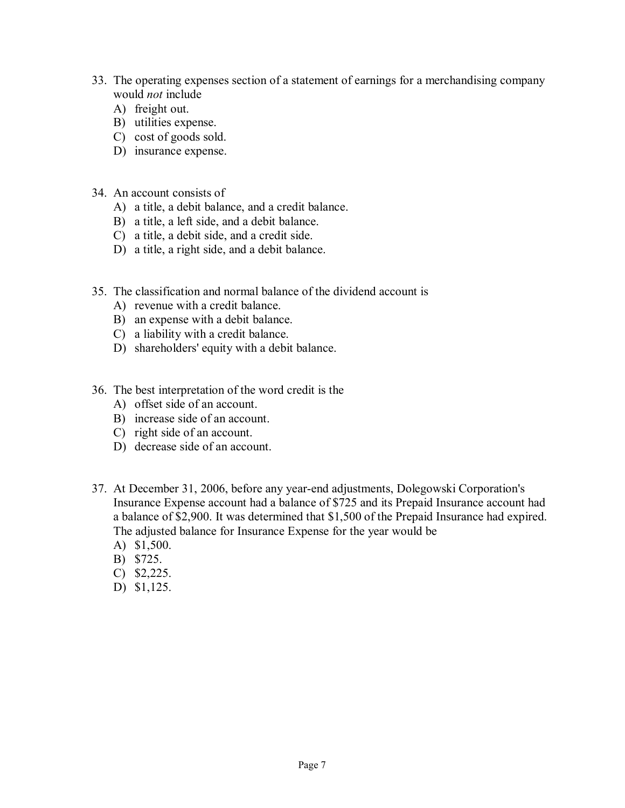- 33. The operating expenses section of a statement of earnings for a merchandising company would *not* include
	- A) freight out.
	- B) utilities expense.
	- C) cost of goods sold.
	- D) insurance expense.
- 34. An account consists of
	- A) a title, a debit balance, and a credit balance.
	- B) a title, a left side, and a debit balance.
	- C) a title, a debit side, and a credit side.
	- D) a title, a right side, and a debit balance.
- 35. The classification and normal balance of the dividend account is
	- A) revenue with a credit balance.
	- B) an expense with a debit balance.
	- C) a liability with a credit balance.
	- D) shareholders' equity with a debit balance.
- 36. The best interpretation of the word credit is the
	- A) offset side of an account.
	- B) increase side of an account.
	- C) right side of an account.
	- D) decrease side of an account.
- 37. At December 31, 2006, before any year-end adjustments, Dolegowski Corporation's Insurance Expense account had a balance of \$725 and its Prepaid Insurance account had a balance of \$2,900. It was determined that \$1,500 of the Prepaid Insurance had expired. The adjusted balance for Insurance Expense for the year would be
	- A) \$1,500.
	- B) \$725.
	- C) \$2,225.
	- D) \$1,125.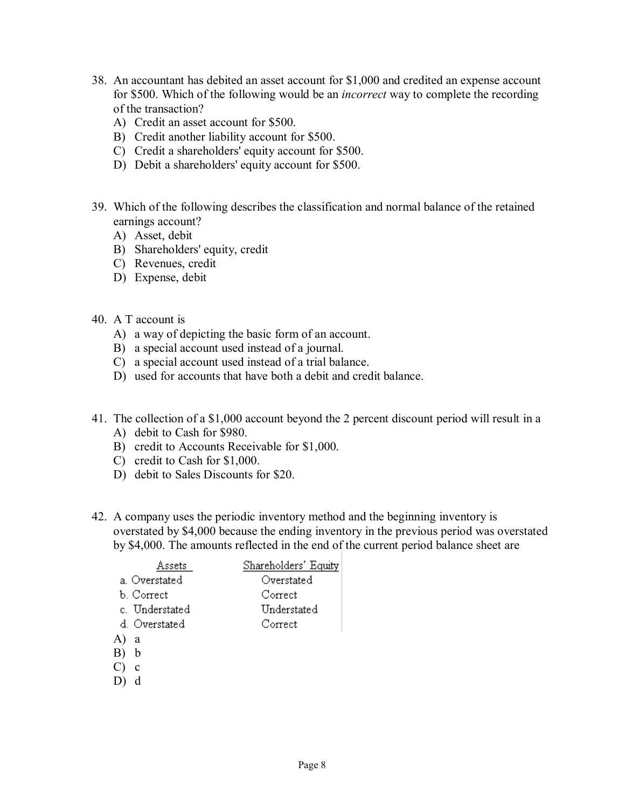- 38. An accountant has debited an asset account for \$1,000 and credited an expense account for \$500. Which of the following would be an *incorrect* way to complete the recording of the transaction?
	- A) Credit an asset account for \$500.
	- B) Credit another liability account for \$500.
	- C) Credit a shareholders' equity account for \$500.
	- D) Debit a shareholders' equity account for \$500.
- 39. Which of the following describes the classification and normal balance of the retained earnings account?
	- A) Asset, debit
	- B) Shareholders' equity, credit
	- C) Revenues, credit
	- D) Expense, debit
- 40. A T account is
	- A) a way of depicting the basic form of an account.
	- B) a special account used instead of a journal.
	- C) a special account used instead of a trial balance.
	- D) used for accounts that have both a debit and credit balance.
- 41. The collection of a \$1,000 account beyond the 2 percent discount period will result in a A) debit to Cash for \$980.
	- B) credit to Accounts Receivable for \$1,000.
	- C) credit to Cash for \$1,000.
	- D) debit to Sales Discounts for \$20.
- 42. A company uses the periodic inventory method and the beginning inventory is overstated by \$4,000 because the ending inventory in the previous period was overstated by \$4,000. The amounts reflected in the end of the current period balance sheet are

| Assets         | Shareholders' Equity |
|----------------|----------------------|
| a. Overstated  | Overstated           |
| b. Correct     | Correct              |
| c. Understated | Understated          |
| d. Overstated  | Correct              |
| A)<br>a        |                      |
| b              |                      |
|                |                      |

- $C$ )  $c$
- $D$ )  $d$